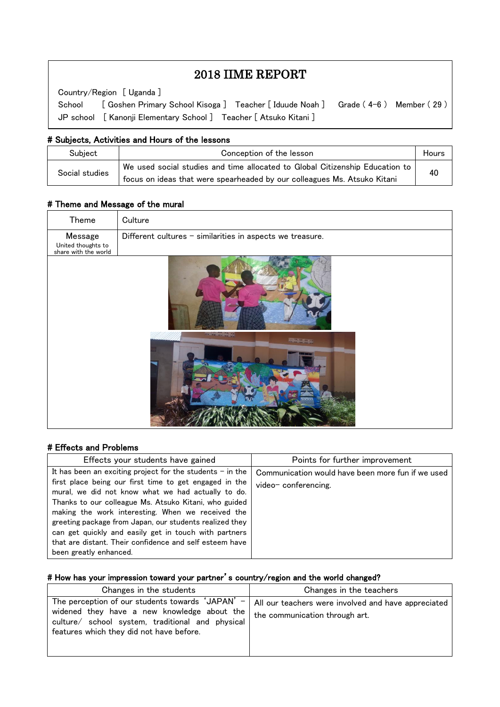# 2018 IIME REPORT

Country/Region [ Uganda ]

 $\overline{\phantom{a}}$  $\overline{\phantom{a}}$  $\overline{\phantom{a}}$ 

 $\overline{\phantom{a}}$  $\overline{a}$ 

School [ Goshen Primary School Kisoga ] Teacher [ Iduude Noah ] Grade (4-6) Member (29 ) JP school [ Kanonji Elementary School ] Teacher [ Atsuko Kitani ]

#### # Subjects, Activities and Hours of the lessons

| Subject        | Conception of the lesson                                                                                                                                 | Hours |
|----------------|----------------------------------------------------------------------------------------------------------------------------------------------------------|-------|
| Social studies | We used social studies and time allocated to Global Citizenship Education to<br>focus on ideas that were spearheaded by our colleagues Ms. Atsuko Kitani | 40    |

## # Theme and Message of the mural

| Theme                                                 | Culture                                                   |  |  |  |
|-------------------------------------------------------|-----------------------------------------------------------|--|--|--|
| Message<br>United thoughts to<br>share with the world | Different cultures - similarities in aspects we treasure. |  |  |  |
|                                                       | <b><i>COMMENT</i></b>                                     |  |  |  |
|                                                       |                                                           |  |  |  |

## # Effects and Problems

| Effects your students have gained                                                                                                                                                                                                                                                                                                                                                                                                                                                                  | Points for further improvement                                           |
|----------------------------------------------------------------------------------------------------------------------------------------------------------------------------------------------------------------------------------------------------------------------------------------------------------------------------------------------------------------------------------------------------------------------------------------------------------------------------------------------------|--------------------------------------------------------------------------|
| It has been an exciting project for the students $-$ in the<br>first place being our first time to get engaged in the<br>mural, we did not know what we had actually to do.<br>Thanks to our colleague Ms. Atsuko Kitani, who guided<br>making the work interesting. When we received the<br>greeting package from Japan, our students realized they<br>can get quickly and easily get in touch with partners<br>that are distant. Their confidence and self esteem have<br>been greatly enhanced. | Communication would have been more fun if we used<br>video-conferencing. |

#### # How has your impression toward your partner's country/region and the world changed?

| Changes in the students                                                                                                                                                                                                   | Changes in the teachers                                                               |
|---------------------------------------------------------------------------------------------------------------------------------------------------------------------------------------------------------------------------|---------------------------------------------------------------------------------------|
| The perception of our students towards 'JAPAN'<br>$\overline{\phantom{a}}$<br>widened they have a new knowledge about the<br>culture/ school system, traditional and physical<br>features which they did not have before. | All our teachers were involved and have appreciated<br>the communication through art. |